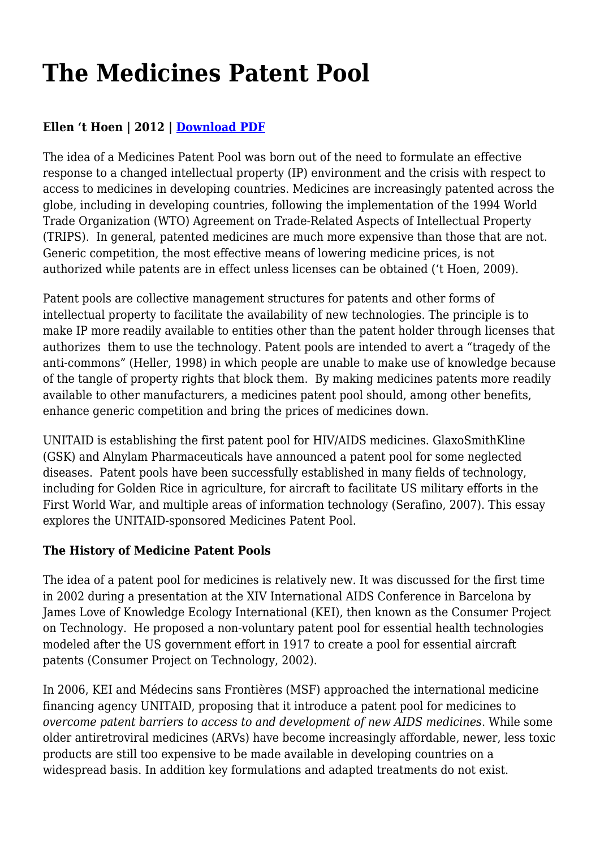# **The Medicines Patent Pool**

# **Ellen 't Hoen | 2012 | [Download PDF](https://haiweb.org/wp-content/uploads/2020/01/The-Medicines-Patent-Pool.pdf)**

The idea of a Medicines Patent Pool was born out of the need to formulate an effective response to a changed intellectual property (IP) environment and the crisis with respect to access to medicines in developing countries. Medicines are increasingly patented across the globe, including in developing countries, following the implementation of the 1994 World Trade Organization (WTO) Agreement on Trade-Related Aspects of Intellectual Property (TRIPS). In general, patented medicines are much more expensive than those that are not. Generic competition, the most effective means of lowering medicine prices, is not authorized while patents are in effect unless licenses can be obtained ('t Hoen, 2009).

Patent pools are collective management structures for patents and other forms of intellectual property to facilitate the availability of new technologies. The principle is to make IP more readily available to entities other than the patent holder through licenses that authorizes them to use the technology. Patent pools are intended to avert a "tragedy of the anti-commons" (Heller, 1998) in which people are unable to make use of knowledge because of the tangle of property rights that block them. By making medicines patents more readily available to other manufacturers, a medicines patent pool should, among other benefits, enhance generic competition and bring the prices of medicines down.

UNITAID is establishing the first patent pool for HIV/AIDS medicines. GlaxoSmithKline (GSK) and Alnylam Pharmaceuticals have announced a patent pool for some neglected diseases. Patent pools have been successfully established in many fields of technology, including for Golden Rice in agriculture, for aircraft to facilitate US military efforts in the First World War, and multiple areas of information technology (Serafino, 2007). This essay explores the UNITAID-sponsored Medicines Patent Pool.

### **The History of Medicine Patent Pools**

The idea of a patent pool for medicines is relatively new. It was discussed for the first time in 2002 during a presentation at the XIV International AIDS Conference in Barcelona by James Love of Knowledge Ecology International (KEI), then known as the Consumer Project on Technology. He proposed a non-voluntary patent pool for essential health technologies modeled after the US government effort in 1917 to create a pool for essential aircraft patents (Consumer Project on Technology, 2002).

In 2006, KEI and Médecins sans Frontières (MSF) approached the international medicine financing agency UNITAID, proposing that it introduce a patent pool for medicines to *overcome patent barriers to access to and development of new AIDS medicines*. While some older antiretroviral medicines (ARVs) have become increasingly affordable, newer, less toxic products are still too expensive to be made available in developing countries on a widespread basis. In addition key formulations and adapted treatments do not exist.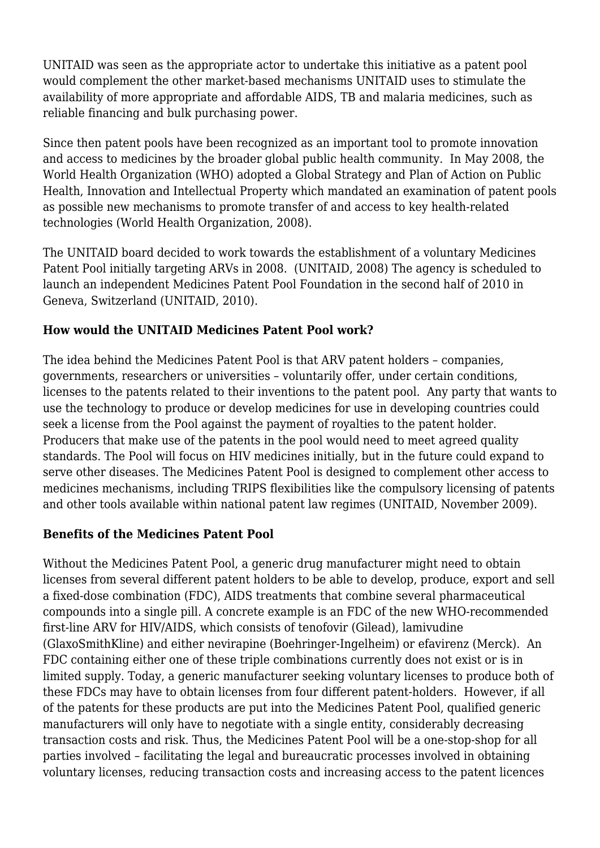UNITAID was seen as the appropriate actor to undertake this initiative as a patent pool would complement the other market-based mechanisms UNITAID uses to stimulate the availability of more appropriate and affordable AIDS, TB and malaria medicines, such as reliable financing and bulk purchasing power.

Since then patent pools have been recognized as an important tool to promote innovation and access to medicines by the broader global public health community. In May 2008, the World Health Organization (WHO) adopted a Global Strategy and Plan of Action on Public Health, Innovation and Intellectual Property which mandated an examination of patent pools as possible new mechanisms to promote transfer of and access to key health-related technologies (World Health Organization, 2008).

The UNITAID board decided to work towards the establishment of a voluntary Medicines Patent Pool initially targeting ARVs in 2008. (UNITAID, 2008) The agency is scheduled to launch an independent Medicines Patent Pool Foundation in the second half of 2010 in Geneva, Switzerland (UNITAID, 2010).

## **How would the UNITAID Medicines Patent Pool work?**

The idea behind the Medicines Patent Pool is that ARV patent holders – companies, governments, researchers or universities – voluntarily offer, under certain conditions, licenses to the patents related to their inventions to the patent pool. Any party that wants to use the technology to produce or develop medicines for use in developing countries could seek a license from the Pool against the payment of royalties to the patent holder. Producers that make use of the patents in the pool would need to meet agreed quality standards. The Pool will focus on HIV medicines initially, but in the future could expand to serve other diseases. The Medicines Patent Pool is designed to complement other access to medicines mechanisms, including TRIPS flexibilities like the compulsory licensing of patents and other tools available within national patent law regimes (UNITAID, November 2009).

### **Benefits of the Medicines Patent Pool**

Without the Medicines Patent Pool, a generic drug manufacturer might need to obtain licenses from several different patent holders to be able to develop, produce, export and sell a fixed-dose combination (FDC), AIDS treatments that combine several pharmaceutical compounds into a single pill. A concrete example is an FDC of the new WHO-recommended first-line ARV for HIV/AIDS, which consists of tenofovir (Gilead), lamivudine (GlaxoSmithKline) and either nevirapine (Boehringer-Ingelheim) or efavirenz (Merck). An FDC containing either one of these triple combinations currently does not exist or is in limited supply. Today, a generic manufacturer seeking voluntary licenses to produce both of these FDCs may have to obtain licenses from four different patent-holders. However, if all of the patents for these products are put into the Medicines Patent Pool, qualified generic manufacturers will only have to negotiate with a single entity, considerably decreasing transaction costs and risk. Thus, the Medicines Patent Pool will be a one-stop-shop for all parties involved – facilitating the legal and bureaucratic processes involved in obtaining voluntary licenses, reducing transaction costs and increasing access to the patent licences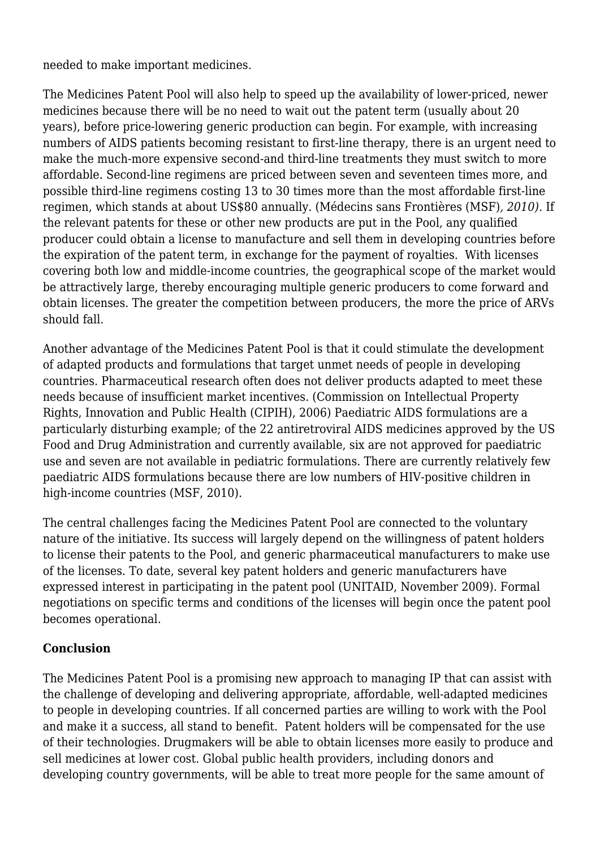needed to make important medicines.

The Medicines Patent Pool will also help to speed up the availability of lower-priced, newer medicines because there will be no need to wait out the patent term (usually about 20 years), before price-lowering generic production can begin. For example, with increasing numbers of AIDS patients becoming resistant to first-line therapy, there is an urgent need to make the much-more expensive second-and third-line treatments they must switch to more affordable. Second-line regimens are priced between seven and seventeen times more, and possible third-line regimens costing 13 to 30 times more than the most affordable first-line regimen, which stands at about US\$80 annually. (Médecins sans Frontières (MSF)*, 2010).* If the relevant patents for these or other new products are put in the Pool, any qualified producer could obtain a license to manufacture and sell them in developing countries before the expiration of the patent term, in exchange for the payment of royalties. With licenses covering both low and middle-income countries, the geographical scope of the market would be attractively large, thereby encouraging multiple generic producers to come forward and obtain licenses. The greater the competition between producers, the more the price of ARVs should fall.

Another advantage of the Medicines Patent Pool is that it could stimulate the development of adapted products and formulations that target unmet needs of people in developing countries. Pharmaceutical research often does not deliver products adapted to meet these needs because of insufficient market incentives. (Commission on Intellectual Property Rights, Innovation and Public Health (CIPIH), 2006) Paediatric AIDS formulations are a particularly disturbing example; of the 22 antiretroviral AIDS medicines approved by the US Food and Drug Administration and currently available, six are not approved for paediatric use and seven are not available in pediatric formulations. There are currently relatively few paediatric AIDS formulations because there are low numbers of HIV-positive children in high-income countries (MSF, 2010).

The central challenges facing the Medicines Patent Pool are connected to the voluntary nature of the initiative. Its success will largely depend on the willingness of patent holders to license their patents to the Pool, and generic pharmaceutical manufacturers to make use of the licenses. To date, several key patent holders and generic manufacturers have expressed interest in participating in the patent pool (UNITAID, November 2009). Formal negotiations on specific terms and conditions of the licenses will begin once the patent pool becomes operational.

### **Conclusion**

The Medicines Patent Pool is a promising new approach to managing IP that can assist with the challenge of developing and delivering appropriate, affordable, well-adapted medicines to people in developing countries. If all concerned parties are willing to work with the Pool and make it a success, all stand to benefit. Patent holders will be compensated for the use of their technologies. Drugmakers will be able to obtain licenses more easily to produce and sell medicines at lower cost. Global public health providers, including donors and developing country governments, will be able to treat more people for the same amount of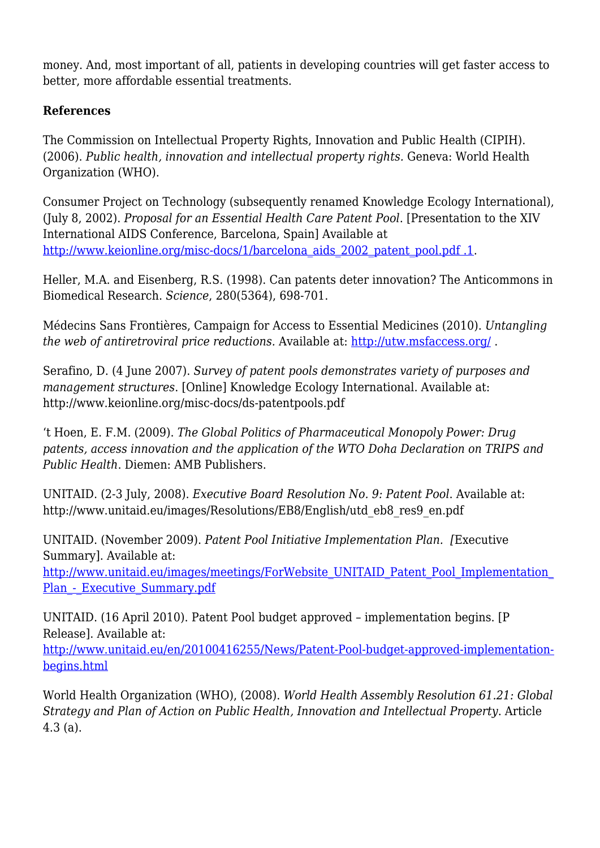money. And, most important of all, patients in developing countries will get faster access to better, more affordable essential treatments.

#### **References**

The Commission on Intellectual Property Rights, Innovation and Public Health (CIPIH). (2006). *Public health, innovation and intellectual property rights.* Geneva: World Health Organization (WHO).

Consumer Project on Technology (subsequently renamed Knowledge Ecology International), (July 8, 2002). *Proposal for an Essential Health Care Patent Pool*. [Presentation to the XIV International AIDS Conference, Barcelona, Spain] Available at [http://www.keionline.org/misc-docs/1/barcelona\\_aids\\_2002\\_patent\\_pool.pdf .1](http://www.keionline.org/misc-docs/1/barcelona_aids_2002_patent_pool.pdf%20.1).

Heller, M.A. and Eisenberg, R.S. (1998). Can patents deter innovation? The Anticommons in Biomedical Research. *Science*, 280(5364), 698-701.

Médecins Sans Frontières, Campaign for Access to Essential Medicines (2010). *Untangling the web of antiretroviral price reductions.* Available at:<http://utw.msfaccess.org/> .

Serafino, D. (4 June 2007). *Survey of patent pools demonstrates variety of purposes and management structures*. [Online] Knowledge Ecology International. Available at: http://www.keionline.org/misc-docs/ds-patentpools.pdf

't Hoen, E. F.M. (2009). *The Global Politics of Pharmaceutical Monopoly Power: Drug patents, access innovation and the application of the WTO Doha Declaration on TRIPS and Public Health*. Diemen: AMB Publishers.

UNITAID. (2-3 July, 2008). *Executive Board Resolution No. 9: Patent Pool*. Available at: http://www.unitaid.eu/images/Resolutions/EB8/English/utd\_eb8\_res9\_en.pdf

UNITAID. (November 2009). *Patent Pool Initiative Implementation Plan. [*Executive Summary]. Available at: http://www.unitaid.eu/images/meetings/ForWebsite\_UNITAID\_Patent\_Pool\_Implementation Plan - Executive Summary.pdf

UNITAID. (16 April 2010). Patent Pool budget approved – implementation begins. [P Release]. Available at:

[http://www.unitaid.eu/en/20100416255/News/Patent-Pool-budget-approved-implementation](http://www.unitaid.eu/en/20100416255/News/Patent-Pool-budget-approved-implementation-begins.html)[begins.html](http://www.unitaid.eu/en/20100416255/News/Patent-Pool-budget-approved-implementation-begins.html)

World Health Organization (WHO), (2008). *World Health Assembly Resolution 61.21: Global Strategy and Plan of Action on Public Health, Innovation and Intellectual Property*. Article 4.3 (a).